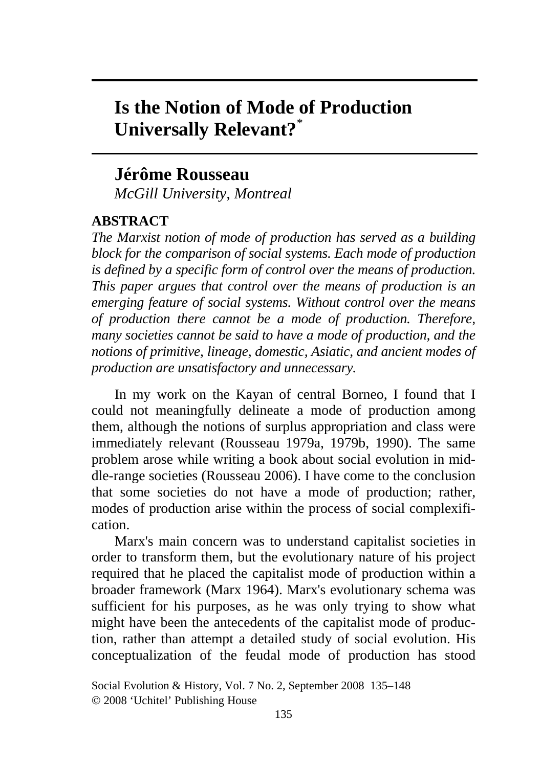# **Is the Notion of Mode of Production Universally Relevant?**\*

# **Jérôme Rousseau**

*McGill University, Montreal* 

### **ABSTRACT**

*The Marxist notion of mode of production has served as a building block for the comparison of social systems. Each mode of production is defined by a specific form of control over the means of production. This paper argues that control over the means of production is an emerging feature of social systems. Without control over the means of production there cannot be a mode of production. Therefore, many societies cannot be said to have a mode of production, and the notions of primitive, lineage, domestic, Asiatic, and ancient modes of production are unsatisfactory and unnecessary.* 

In my work on the Kayan of central Borneo, I found that I could not meaningfully delineate a mode of production among them, although the notions of surplus appropriation and class were immediately relevant (Rousseau 1979a, 1979b, 1990). The same problem arose while writing a book about social evolution in middle-range societies (Rousseau 2006). I have come to the conclusion that some societies do not have a mode of production; rather, modes of production arise within the process of social complexification.

Marx's main concern was to understand capitalist societies in order to transform them, but the evolutionary nature of his project required that he placed the capitalist mode of production within a broader framework (Marx 1964). Marx's evolutionary schema was sufficient for his purposes, as he was only trying to show what might have been the antecedents of the capitalist mode of production, rather than attempt a detailed study of social evolution. His conceptualization of the feudal mode of production has stood

Social Evolution & History, Vol. 7 No. 2, September 2008 135–148 © 2008 'Uchitel' Publishing House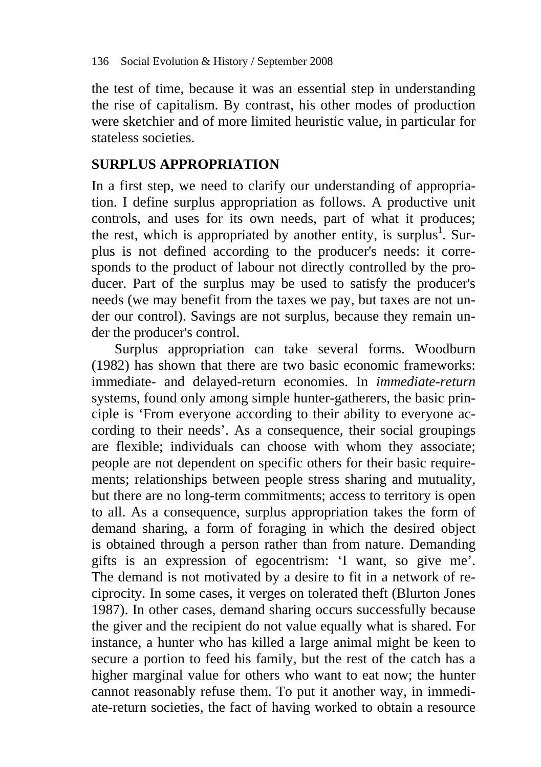the test of time, because it was an essential step in understanding the rise of capitalism. By contrast, his other modes of production were sketchier and of more limited heuristic value, in particular for stateless societies.

## **SURPLUS APPROPRIATION**

In a first step, we need to clarify our understanding of appropriation. I define surplus appropriation as follows. A productive unit controls, and uses for its own needs, part of what it produces; the rest, which is appropriated by another entity, is surplus<sup>1</sup>. Surplus is not defined according to the producer's needs: it corresponds to the product of labour not directly controlled by the producer. Part of the surplus may be used to satisfy the producer's needs (we may benefit from the taxes we pay, but taxes are not under our control). Savings are not surplus, because they remain under the producer's control.

Surplus appropriation can take several forms. Woodburn (1982) has shown that there are two basic economic frameworks: immediate- and delayed-return economies. In *immediate-return*  systems, found only among simple hunter-gatherers, the basic principle is 'From everyone according to their ability to everyone according to their needs'. As a consequence, their social groupings are flexible; individuals can choose with whom they associate; people are not dependent on specific others for their basic requirements; relationships between people stress sharing and mutuality, but there are no long-term commitments; access to territory is open to all. As a consequence, surplus appropriation takes the form of demand sharing, a form of foraging in which the desired object is obtained through a person rather than from nature. Demanding gifts is an expression of egocentrism: 'I want, so give me'. The demand is not motivated by a desire to fit in a network of reciprocity. In some cases, it verges on tolerated theft (Blurton Jones 1987). In other cases, demand sharing occurs successfully because the giver and the recipient do not value equally what is shared. For instance, a hunter who has killed a large animal might be keen to secure a portion to feed his family, but the rest of the catch has a higher marginal value for others who want to eat now; the hunter cannot reasonably refuse them. To put it another way, in immediate-return societies, the fact of having worked to obtain a resource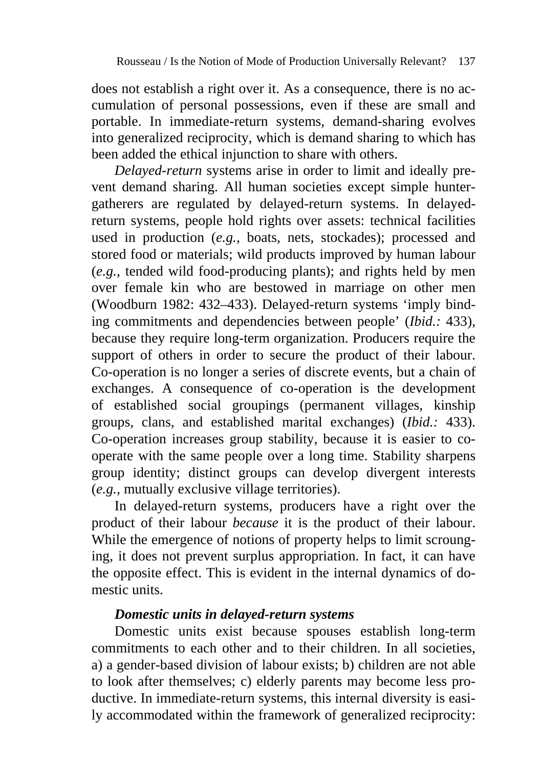does not establish a right over it. As a consequence, there is no accumulation of personal possessions, even if these are small and portable. In immediate-return systems, demand-sharing evolves into generalized reciprocity, which is demand sharing to which has been added the ethical injunction to share with others.

*Delayed-return* systems arise in order to limit and ideally prevent demand sharing. All human societies except simple huntergatherers are regulated by delayed-return systems. In delayedreturn systems, people hold rights over assets: technical facilities used in production (*e.g.,* boats, nets, stockades); processed and stored food or materials; wild products improved by human labour (*e.g.,* tended wild food-producing plants); and rights held by men over female kin who are bestowed in marriage on other men (Woodburn 1982: 432–433). Delayed-return systems 'imply binding commitments and dependencies between people' (*Ibid.:* 433), because they require long-term organization. Producers require the support of others in order to secure the product of their labour. Co-operation is no longer a series of discrete events, but a chain of exchanges. A consequence of co-operation is the development of established social groupings (permanent villages, kinship groups, clans, and established marital exchanges) (*Ibid.:* 433). Co-operation increases group stability, because it is easier to cooperate with the same people over a long time. Stability sharpens group identity; distinct groups can develop divergent interests (*e.g.,* mutually exclusive village territories).

In delayed-return systems, producers have a right over the product of their labour *because* it is the product of their labour. While the emergence of notions of property helps to limit scrounging, it does not prevent surplus appropriation. In fact, it can have the opposite effect. This is evident in the internal dynamics of domestic units.

### *Domestic units in delayed-return systems*

Domestic units exist because spouses establish long-term commitments to each other and to their children. In all societies, a) a gender-based division of labour exists; b) children are not able to look after themselves; c) elderly parents may become less productive. In immediate-return systems, this internal diversity is easily accommodated within the framework of generalized reciprocity: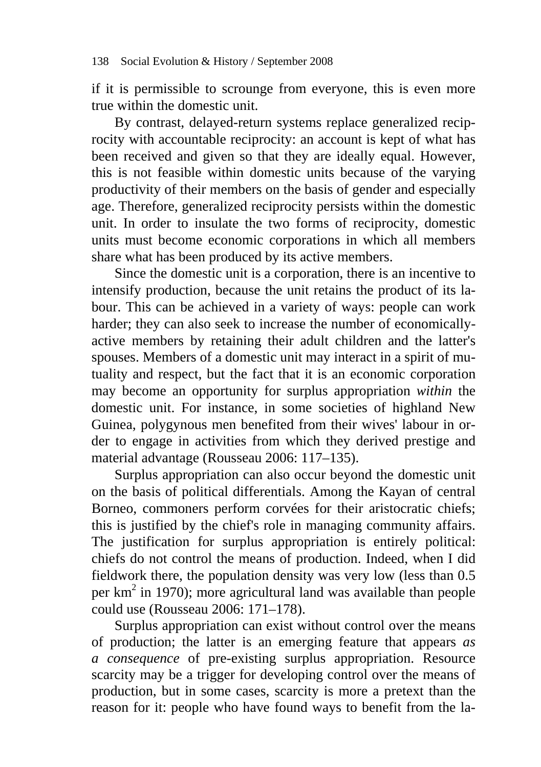if it is permissible to scrounge from everyone, this is even more true within the domestic unit.

By contrast, delayed-return systems replace generalized reciprocity with accountable reciprocity: an account is kept of what has been received and given so that they are ideally equal. However, this is not feasible within domestic units because of the varying productivity of their members on the basis of gender and especially age. Therefore, generalized reciprocity persists within the domestic unit. In order to insulate the two forms of reciprocity, domestic units must become economic corporations in which all members share what has been produced by its active members.

Since the domestic unit is a corporation, there is an incentive to intensify production, because the unit retains the product of its labour. This can be achieved in a variety of ways: people can work harder; they can also seek to increase the number of economicallyactive members by retaining their adult children and the latter's spouses. Members of a domestic unit may interact in a spirit of mutuality and respect, but the fact that it is an economic corporation may become an opportunity for surplus appropriation *within* the domestic unit. For instance, in some societies of highland New Guinea, polygynous men benefited from their wives' labour in order to engage in activities from which they derived prestige and material advantage (Rousseau 2006: 117–135).

Surplus appropriation can also occur beyond the domestic unit on the basis of political differentials. Among the Kayan of central Borneo, commoners perform corvées for their aristocratic chiefs; this is justified by the chief's role in managing community affairs. The justification for surplus appropriation is entirely political: chiefs do not control the means of production. Indeed, when I did fieldwork there, the population density was very low (less than 0.5 per km<sup>2</sup> in 1970); more agricultural land was available than people could use (Rousseau 2006: 171–178).

Surplus appropriation can exist without control over the means of production; the latter is an emerging feature that appears *as a consequence* of pre-existing surplus appropriation. Resource scarcity may be a trigger for developing control over the means of production, but in some cases, scarcity is more a pretext than the reason for it: people who have found ways to benefit from the la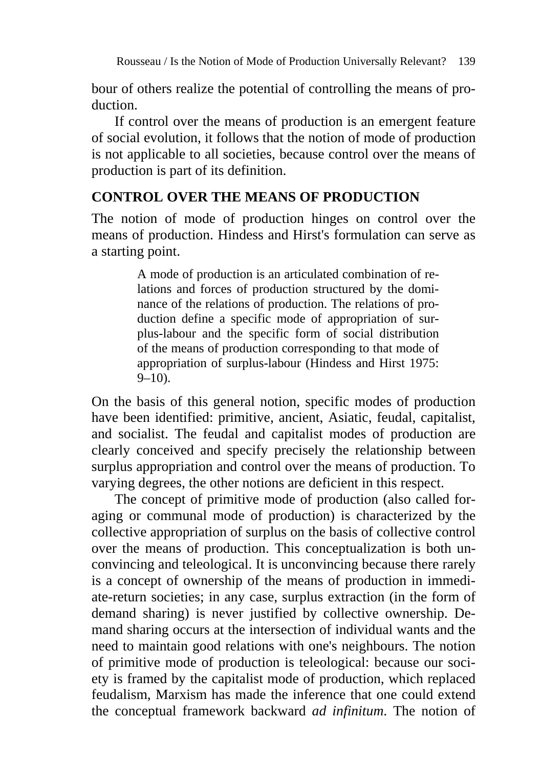bour of others realize the potential of controlling the means of production.

If control over the means of production is an emergent feature of social evolution, it follows that the notion of mode of production is not applicable to all societies, because control over the means of production is part of its definition.

# **CONTROL OVER THE MEANS OF PRODUCTION**

The notion of mode of production hinges on control over the means of production. Hindess and Hirst's formulation can serve as a starting point.

> A mode of production is an articulated combination of relations and forces of production structured by the dominance of the relations of production. The relations of production define a specific mode of appropriation of surplus-labour and the specific form of social distribution of the means of production corresponding to that mode of appropriation of surplus-labour (Hindess and Hirst 1975:  $9-10$ ).

On the basis of this general notion, specific modes of production have been identified: primitive, ancient, Asiatic, feudal, capitalist, and socialist. The feudal and capitalist modes of production are clearly conceived and specify precisely the relationship between surplus appropriation and control over the means of production. To varying degrees, the other notions are deficient in this respect.

The concept of primitive mode of production (also called foraging or communal mode of production) is characterized by the collective appropriation of surplus on the basis of collective control over the means of production. This conceptualization is both unconvincing and teleological. It is unconvincing because there rarely is a concept of ownership of the means of production in immediate-return societies; in any case, surplus extraction (in the form of demand sharing) is never justified by collective ownership. Demand sharing occurs at the intersection of individual wants and the need to maintain good relations with one's neighbours. The notion of primitive mode of production is teleological: because our society is framed by the capitalist mode of production, which replaced feudalism, Marxism has made the inference that one could extend the conceptual framework backward *ad infinitum*. The notion of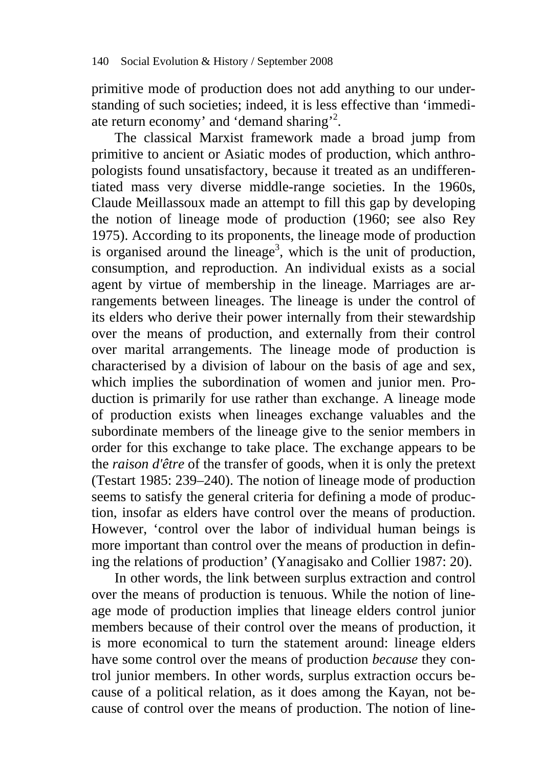primitive mode of production does not add anything to our understanding of such societies; indeed, it is less effective than 'immediate return economy' and 'demand sharing'<sup>2</sup>.

The classical Marxist framework made a broad jump from primitive to ancient or Asiatic modes of production, which anthropologists found unsatisfactory, because it treated as an undifferentiated mass very diverse middle-range societies. In the 1960s, Claude Meillassoux made an attempt to fill this gap by developing the notion of lineage mode of production (1960; see also Rey 1975). According to its proponents, the lineage mode of production is organised around the lineage<sup>3</sup>, which is the unit of production, consumption, and reproduction. An individual exists as a social agent by virtue of membership in the lineage. Marriages are arrangements between lineages. The lineage is under the control of its elders who derive their power internally from their stewardship over the means of production, and externally from their control over marital arrangements. The lineage mode of production is characterised by a division of labour on the basis of age and sex, which implies the subordination of women and junior men. Production is primarily for use rather than exchange. A lineage mode of production exists when lineages exchange valuables and the subordinate members of the lineage give to the senior members in order for this exchange to take place. The exchange appears to be the *raison d'être* of the transfer of goods, when it is only the pretext (Testart 1985: 239–240). The notion of lineage mode of production seems to satisfy the general criteria for defining a mode of production, insofar as elders have control over the means of production. However, 'control over the labor of individual human beings is more important than control over the means of production in defining the relations of production' (Yanagisako and Collier 1987: 20).

In other words, the link between surplus extraction and control over the means of production is tenuous. While the notion of lineage mode of production implies that lineage elders control junior members because of their control over the means of production, it is more economical to turn the statement around: lineage elders have some control over the means of production *because* they control junior members. In other words, surplus extraction occurs because of a political relation, as it does among the Kayan, not because of control over the means of production. The notion of line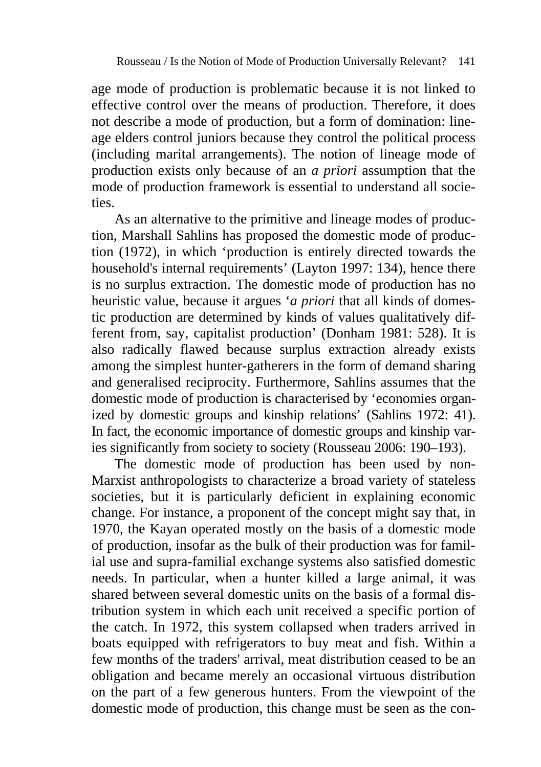age mode of production is problematic because it is not linked to effective control over the means of production. Therefore, it does not describe a mode of production, but a form of domination: lineage elders control juniors because they control the political process (including marital arrangements). The notion of lineage mode of production exists only because of an *a priori* assumption that the mode of production framework is essential to understand all societies.

As an alternative to the primitive and lineage modes of production, Marshall Sahlins has proposed the domestic mode of production (1972), in which 'production is entirely directed towards the household's internal requirements' (Layton 1997: 134), hence there is no surplus extraction. The domestic mode of production has no heuristic value, because it argues '*a priori* that all kinds of domestic production are determined by kinds of values qualitatively different from, say, capitalist production' (Donham 1981: 528). It is also radically flawed because surplus extraction already exists among the simplest hunter-gatherers in the form of demand sharing and generalised reciprocity. Furthermore, Sahlins assumes that the domestic mode of production is characterised by 'economies organized by domestic groups and kinship relations' (Sahlins 1972: 41). In fact, the economic importance of domestic groups and kinship varies significantly from society to society (Rousseau 2006: 190–193).

The domestic mode of production has been used by non-Marxist anthropologists to characterize a broad variety of stateless societies, but it is particularly deficient in explaining economic change. For instance, a proponent of the concept might say that, in 1970, the Kayan operated mostly on the basis of a domestic mode of production, insofar as the bulk of their production was for familial use and supra-familial exchange systems also satisfied domestic needs. In particular, when a hunter killed a large animal, it was shared between several domestic units on the basis of a formal distribution system in which each unit received a specific portion of the catch. In 1972, this system collapsed when traders arrived in boats equipped with refrigerators to buy meat and fish. Within a few months of the traders' arrival, meat distribution ceased to be an obligation and became merely an occasional virtuous distribution on the part of a few generous hunters. From the viewpoint of the domestic mode of production, this change must be seen as the con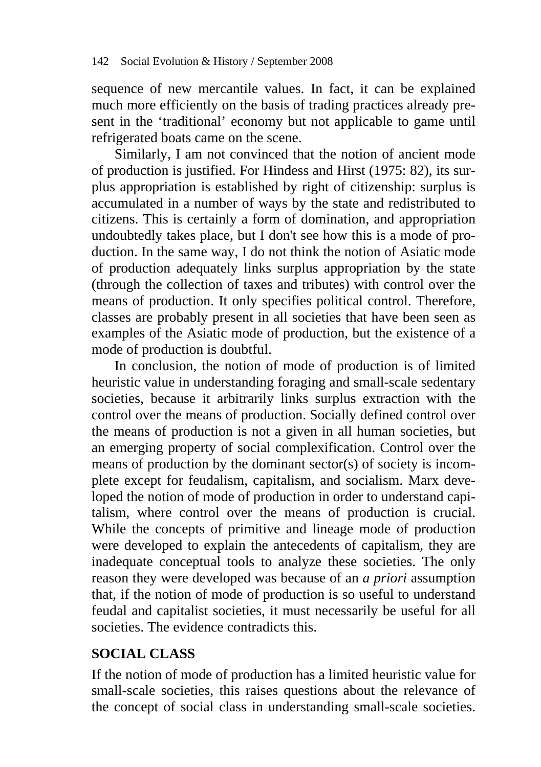sequence of new mercantile values. In fact, it can be explained much more efficiently on the basis of trading practices already present in the 'traditional' economy but not applicable to game until refrigerated boats came on the scene.

Similarly, I am not convinced that the notion of ancient mode of production is justified. For Hindess and Hirst (1975: 82), its surplus appropriation is established by right of citizenship: surplus is accumulated in a number of ways by the state and redistributed to citizens. This is certainly a form of domination, and appropriation undoubtedly takes place, but I don't see how this is a mode of production. In the same way, I do not think the notion of Asiatic mode of production adequately links surplus appropriation by the state (through the collection of taxes and tributes) with control over the means of production. It only specifies political control. Therefore, classes are probably present in all societies that have been seen as examples of the Asiatic mode of production, but the existence of a mode of production is doubtful.

In conclusion, the notion of mode of production is of limited heuristic value in understanding foraging and small-scale sedentary societies, because it arbitrarily links surplus extraction with the control over the means of production. Socially defined control over the means of production is not a given in all human societies, but an emerging property of social complexification. Control over the means of production by the dominant sector(s) of society is incomplete except for feudalism, capitalism, and socialism. Marx developed the notion of mode of production in order to understand capitalism, where control over the means of production is crucial. While the concepts of primitive and lineage mode of production were developed to explain the antecedents of capitalism, they are inadequate conceptual tools to analyze these societies. The only reason they were developed was because of an *a priori* assumption that, if the notion of mode of production is so useful to understand feudal and capitalist societies, it must necessarily be useful for all societies. The evidence contradicts this.

# **SOCIAL CLASS**

If the notion of mode of production has a limited heuristic value for small-scale societies, this raises questions about the relevance of the concept of social class in understanding small-scale societies.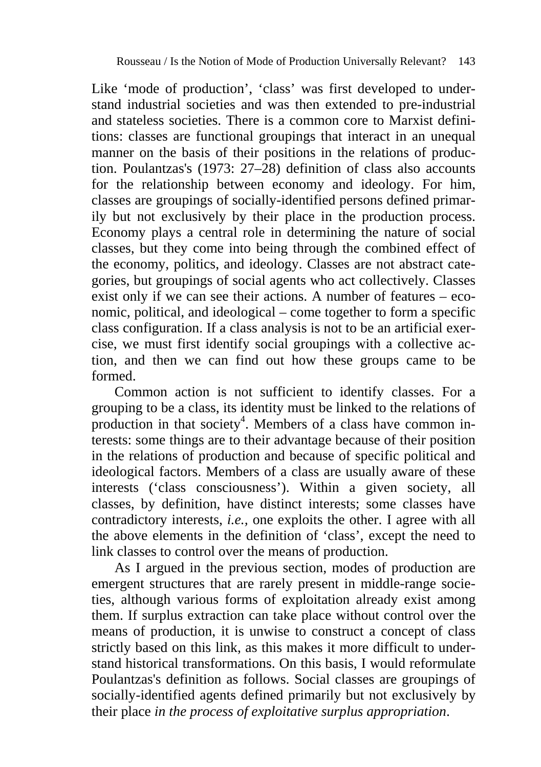Like 'mode of production', 'class' was first developed to understand industrial societies and was then extended to pre-industrial and stateless societies. There is a common core to Marxist definitions: classes are functional groupings that interact in an unequal manner on the basis of their positions in the relations of production. Poulantzas's (1973: 27–28) definition of class also accounts for the relationship between economy and ideology. For him, classes are groupings of socially-identified persons defined primarily but not exclusively by their place in the production process. Economy plays a central role in determining the nature of social classes, but they come into being through the combined effect of the economy, politics, and ideology. Classes are not abstract categories, but groupings of social agents who act collectively. Classes exist only if we can see their actions. A number of features – economic, political, and ideological – come together to form a specific class configuration. If a class analysis is not to be an artificial exercise, we must first identify social groupings with a collective action, and then we can find out how these groups came to be formed.

Common action is not sufficient to identify classes. For a grouping to be a class, its identity must be linked to the relations of production in that society<sup>4</sup>. Members of a class have common interests: some things are to their advantage because of their position in the relations of production and because of specific political and ideological factors. Members of a class are usually aware of these interests ('class consciousness'). Within a given society, all classes, by definition, have distinct interests; some classes have contradictory interests, *i.e.,* one exploits the other. I agree with all the above elements in the definition of 'class', except the need to link classes to control over the means of production.

As I argued in the previous section, modes of production are emergent structures that are rarely present in middle-range societies, although various forms of exploitation already exist among them. If surplus extraction can take place without control over the means of production, it is unwise to construct a concept of class strictly based on this link, as this makes it more difficult to understand historical transformations. On this basis, I would reformulate Poulantzas's definition as follows. Social classes are groupings of socially-identified agents defined primarily but not exclusively by their place *in the process of exploitative surplus appropriation*.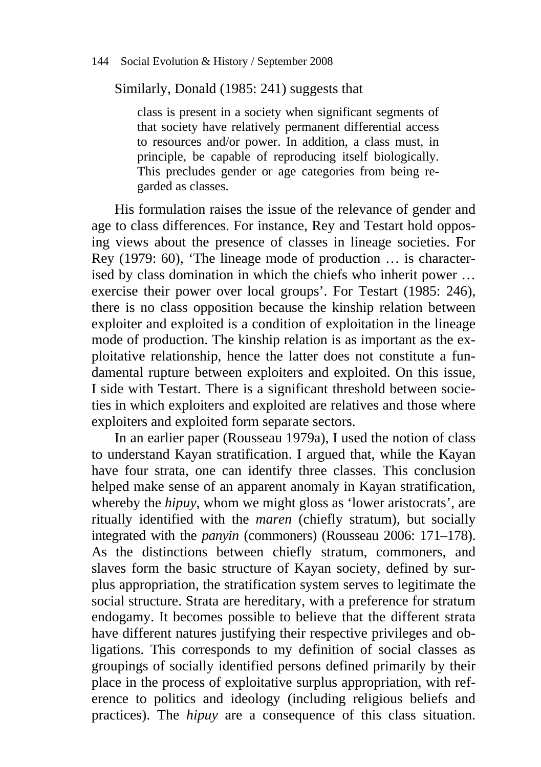#### Similarly, Donald (1985: 241) suggests that

class is present in a society when significant segments of that society have relatively permanent differential access to resources and/or power. In addition, a class must, in principle, be capable of reproducing itself biologically. This precludes gender or age categories from being regarded as classes.

His formulation raises the issue of the relevance of gender and age to class differences. For instance, Rey and Testart hold opposing views about the presence of classes in lineage societies. For Rey (1979: 60), 'The lineage mode of production … is characterised by class domination in which the chiefs who inherit power … exercise their power over local groups'. For Testart (1985: 246), there is no class opposition because the kinship relation between exploiter and exploited is a condition of exploitation in the lineage mode of production. The kinship relation is as important as the exploitative relationship, hence the latter does not constitute a fundamental rupture between exploiters and exploited. On this issue, I side with Testart. There is a significant threshold between societies in which exploiters and exploited are relatives and those where exploiters and exploited form separate sectors.

In an earlier paper (Rousseau 1979a), I used the notion of class to understand Kayan stratification. I argued that, while the Kayan have four strata, one can identify three classes. This conclusion helped make sense of an apparent anomaly in Kayan stratification, whereby the *hipuy*, whom we might gloss as 'lower aristocrats', are ritually identified with the *maren* (chiefly stratum), but socially integrated with the *panyin* (commoners) (Rousseau 2006: 171–178). As the distinctions between chiefly stratum, commoners, and slaves form the basic structure of Kayan society, defined by surplus appropriation, the stratification system serves to legitimate the social structure. Strata are hereditary, with a preference for stratum endogamy. It becomes possible to believe that the different strata have different natures justifying their respective privileges and obligations. This corresponds to my definition of social classes as groupings of socially identified persons defined primarily by their place in the process of exploitative surplus appropriation, with reference to politics and ideology (including religious beliefs and practices). The *hipuy* are a consequence of this class situation.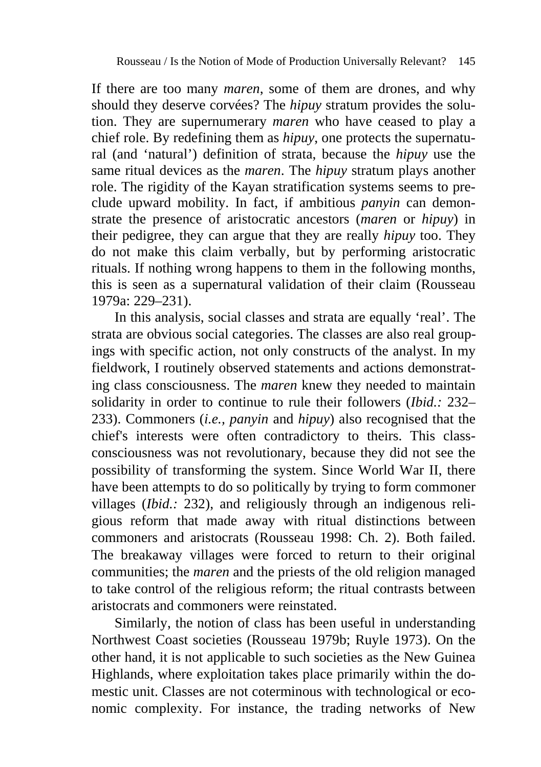If there are too many *maren*, some of them are drones, and why should they deserve corvées? The *hipuy* stratum provides the solution. They are supernumerary *maren* who have ceased to play a chief role. By redefining them as *hipuy*, one protects the supernatural (and 'natural') definition of strata, because the *hipuy* use the same ritual devices as the *maren*. The *hipuy* stratum plays another role. The rigidity of the Kayan stratification systems seems to preclude upward mobility. In fact, if ambitious *panyin* can demonstrate the presence of aristocratic ancestors (*maren* or *hipuy*) in their pedigree, they can argue that they are really *hipuy* too. They do not make this claim verbally, but by performing aristocratic rituals. If nothing wrong happens to them in the following months, this is seen as a supernatural validation of their claim (Rousseau 1979a: 229–231).

In this analysis, social classes and strata are equally 'real'. The strata are obvious social categories. The classes are also real groupings with specific action, not only constructs of the analyst. In my fieldwork, I routinely observed statements and actions demonstrating class consciousness. The *maren* knew they needed to maintain solidarity in order to continue to rule their followers (*Ibid.:* 232– 233). Commoners (*i.e., panyin* and *hipuy*) also recognised that the chief's interests were often contradictory to theirs. This classconsciousness was not revolutionary, because they did not see the possibility of transforming the system. Since World War II, there have been attempts to do so politically by trying to form commoner villages (*Ibid.:* 232), and religiously through an indigenous religious reform that made away with ritual distinctions between commoners and aristocrats (Rousseau 1998: Ch. 2). Both failed. The breakaway villages were forced to return to their original communities; the *maren* and the priests of the old religion managed to take control of the religious reform; the ritual contrasts between aristocrats and commoners were reinstated.

Similarly, the notion of class has been useful in understanding Northwest Coast societies (Rousseau 1979b; Ruyle 1973). On the other hand, it is not applicable to such societies as the New Guinea Highlands, where exploitation takes place primarily within the domestic unit. Classes are not coterminous with technological or economic complexity. For instance, the trading networks of New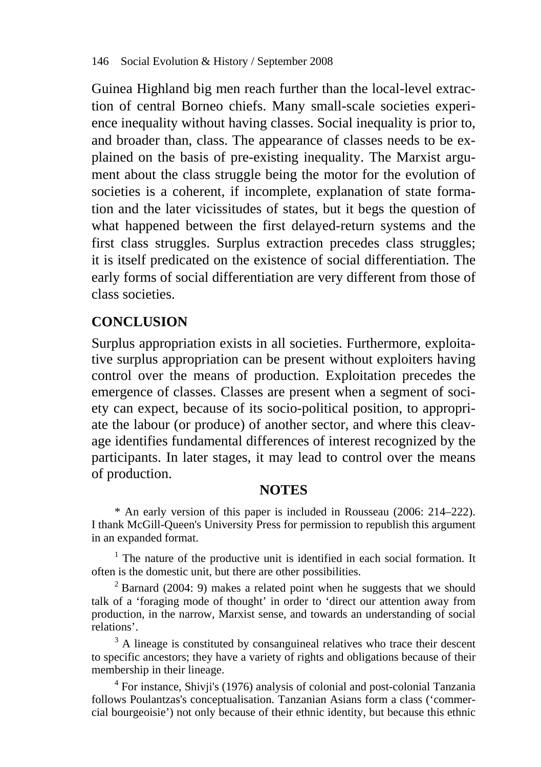Guinea Highland big men reach further than the local-level extraction of central Borneo chiefs. Many small-scale societies experience inequality without having classes. Social inequality is prior to, and broader than, class. The appearance of classes needs to be explained on the basis of pre-existing inequality. The Marxist argument about the class struggle being the motor for the evolution of societies is a coherent, if incomplete, explanation of state formation and the later vicissitudes of states, but it begs the question of what happened between the first delayed-return systems and the first class struggles. Surplus extraction precedes class struggles; it is itself predicated on the existence of social differentiation. The early forms of social differentiation are very different from those of class societies.

# **CONCLUSION**

Surplus appropriation exists in all societies. Furthermore, exploitative surplus appropriation can be present without exploiters having control over the means of production. Exploitation precedes the emergence of classes. Classes are present when a segment of society can expect, because of its socio-political position, to appropriate the labour (or produce) of another sector, and where this cleavage identifies fundamental differences of interest recognized by the participants. In later stages, it may lead to control over the means of production.

### **NOTES**

\* An early version of this paper is included in Rousseau (2006: 214–222). I thank McGill-Queen's University Press for permission to republish this argument in an expanded format.

<sup>1</sup> The nature of the productive unit is identified in each social formation. It often is the domestic unit, but there are other possibilities.

 $2^2$  Barnard (2004: 9) makes a related point when he suggests that we should talk of a 'foraging mode of thought' in order to 'direct our attention away from production, in the narrow, Marxist sense, and towards an understanding of social relations'.

<sup>3</sup> A lineage is constituted by consanguineal relatives who trace their descent to specific ancestors; they have a variety of rights and obligations because of their membership in their lineage.

4 For instance, Shivji's (1976) analysis of colonial and post-colonial Tanzania follows Poulantzas's conceptualisation. Tanzanian Asians form a class ('commercial bourgeoisie') not only because of their ethnic identity, but because this ethnic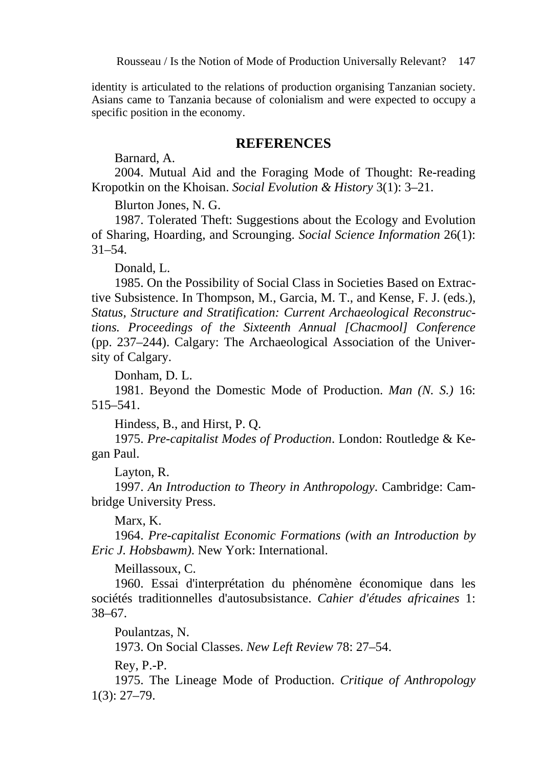Rousseau / Is the Notion of Mode of Production Universally Relevant? 147

identity is articulated to the relations of production organising Tanzanian society. Asians came to Tanzania because of colonialism and were expected to occupy a specific position in the economy.

#### **REFERENCES**

Barnard, A.

2004. Mutual Aid and the Foraging Mode of Thought: Re-reading Kropotkin on the Khoisan. *Social Evolution & History* 3(1): 3–21.

Blurton Jones, N. G.

1987. Tolerated Theft: Suggestions about the Ecology and Evolution of Sharing, Hoarding, and Scrounging. *Social Science Information* 26(1): 31–54.

Donald, L.

1985. On the Possibility of Social Class in Societies Based on Extractive Subsistence. In Thompson, M., Garcia, M. T., and Kense, F. J. (eds.), *Status, Structure and Stratification: Current Archaeological Reconstructions. Proceedings of the Sixteenth Annual [Chacmool] Conference* (pp. 237–244). Calgary: The Archaeological Association of the University of Calgary.

Donham, D. L.

1981. Beyond the Domestic Mode of Production. *Man (N. S.)* 16: 515–541.

Hindess, B., and Hirst, P. Q.

1975. *Pre-capitalist Modes of Production*. London: Routledge & Kegan Paul.

Layton, R.

1997. *An Introduction to Theory in Anthropology*. Cambridge: Cambridge University Press.

Marx, K.

1964. *Pre-capitalist Economic Formations (with an Introduction by Eric J. Hobsbawm)*. New York: International.

Meillassoux, C.

1960. Essai d'interprétation du phénomène économique dans les sociétés traditionnelles d'autosubsistance. *Cahier d'études africaines* 1: 38–67.

Poulantzas, N.

1973. On Social Classes. *New Left Review* 78: 27–54.

Rey, P.-P.

1975. The Lineage Mode of Production. *Critique of Anthropology*  1(3): 27–79.